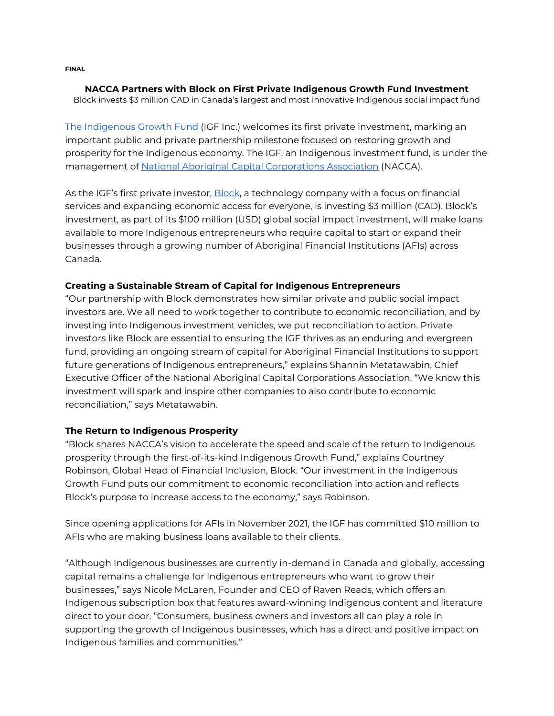**FINAL**

#### **NACCA Partners with Block on First Private Indigenous Growth Fund Investment** Block invests \$3 million CAD in Canada's largest and most innovative Indigenous social impact fund

[The Indigenous Growth Fund](https://nacca.ca/igf/) (IGF Inc.) welcomes its first private investment, marking an important public and private partnership milestone focused on restoring growth and prosperity for the Indigenous economy. The IGF, an Indigenous investment fund, is under the management of [National Aboriginal Capital Corporations Association](https://nacca.ca/) (NACCA).

As the IGF's first private investor, **Block**, a technology company with a focus on financial services and expanding economic access for everyone, is investing \$3 million (CAD). Block's investment, as part of its \$100 million (USD) global social impact investment, will make loans available to more Indigenous entrepreneurs who require capital to start or expand their businesses through a growing number of Aboriginal Financial Institutions (AFIs) across Canada.

## **Creating a Sustainable Stream of Capital for Indigenous Entrepreneurs**

"Our partnership with Block demonstrates how similar private and public social impact investors are. We all need to work together to contribute to economic reconciliation, and by investing into Indigenous investment vehicles, we put reconciliation to action. Private investors like Block are essential to ensuring the IGF thrives as an enduring and evergreen fund, providing an ongoing stream of capital for Aboriginal Financial Institutions to support future generations of Indigenous entrepreneurs," explains Shannin Metatawabin, Chief Executive Officer of the National Aboriginal Capital Corporations Association. "We know this investment will spark and inspire other companies to also contribute to economic reconciliation," says Metatawabin.

# **The Return to Indigenous Prosperity**

"Block shares NACCA's vision to accelerate the speed and scale of the return to Indigenous prosperity through the first-of-its-kind Indigenous Growth Fund," explains Courtney Robinson, Global Head of Financial Inclusion, Block. "Our investment in the Indigenous Growth Fund puts our commitment to economic reconciliation into action and reflects Block's purpose to increase access to the economy," says Robinson.

Since opening applications for AFIs in November 2021, the IGF has committed \$10 million to AFIs who are making business loans available to their clients.

"Although Indigenous businesses are currently in-demand in Canada and globally, accessing capital remains a challenge for Indigenous entrepreneurs who want to grow their businesses," says Nicole McLaren, Founder and CEO of Raven Reads, which offers an Indigenous subscription box that features award-winning Indigenous content and literature direct to your door. "Consumers, business owners and investors all can play a role in supporting the growth of Indigenous businesses, which has a direct and positive impact on Indigenous families and communities."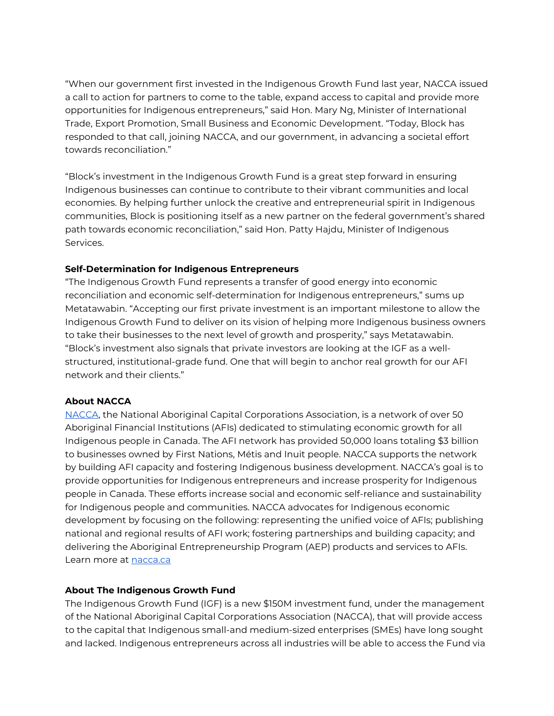"When our government first invested in the Indigenous Growth Fund last year, NACCA issued a call to action for partners to come to the table, expand access to capital and provide more opportunities for Indigenous entrepreneurs," said Hon. Mary Ng, Minister of International Trade, Export Promotion, Small Business and Economic Development. "Today, Block has responded to that call, joining NACCA, and our government, in advancing a societal effort towards reconciliation."

"Block's investment in the Indigenous Growth Fund is a great step forward in ensuring Indigenous businesses can continue to contribute to their vibrant communities and local economies. By helping further unlock the creative and entrepreneurial spirit in Indigenous communities, Block is positioning itself as a new partner on the federal government's shared path towards economic reconciliation," said Hon. Patty Hajdu, Minister of Indigenous Services.

## **Self-Determination for Indigenous Entrepreneurs**

"The Indigenous Growth Fund represents a transfer of good energy into economic reconciliation and economic self-determination for Indigenous entrepreneurs," sums up Metatawabin. "Accepting our first private investment is an important milestone to allow the Indigenous Growth Fund to deliver on its vision of helping more Indigenous business owners to take their businesses to the next level of growth and prosperity," says Metatawabin. "Block's investment also signals that private investors are looking at the IGF as a wellstructured, institutional-grade fund. One that will begin to anchor real growth for our AFI network and their clients."

#### **About NACCA**

[NACCA,](https://nacca.ca/about/) the National Aboriginal Capital Corporations Association, is a network of over 50 Aboriginal Financial Institutions (AFIs) dedicated to stimulating economic growth for all Indigenous people in Canada. The AFI network has provided 50,000 loans totaling \$3 billion to businesses owned by First Nations, Métis and Inuit people. NACCA supports the network by building AFI capacity and fostering Indigenous business development. NACCA's goal is to provide opportunities for Indigenous entrepreneurs and increase prosperity for Indigenous people in Canada. These efforts increase social and economic self-reliance and sustainability for Indigenous people and communities. NACCA advocates for Indigenous economic development by focusing on the following: representing the unified voice of AFIs; publishing national and regional results of AFI work; fostering partnerships and building capacity; and delivering the Aboriginal Entrepreneurship Program (AEP) products and services to AFIs. Learn more at [nacca.ca](https://nacca.ca/about/)

#### **About The Indigenous Growth Fund**

The Indigenous Growth Fund (IGF) is a new \$150M investment fund, under the management of the National Aboriginal Capital Corporations Association (NACCA), that will provide access to the capital that Indigenous small-and medium-sized enterprises (SMEs) have long sought and lacked. Indigenous entrepreneurs across all industries will be able to access the Fund via